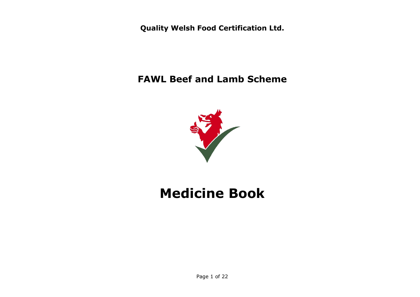**Quality Welsh Food Certification Ltd.**

**FAWL Beef and Lamb Scheme**



# **Medicine Book**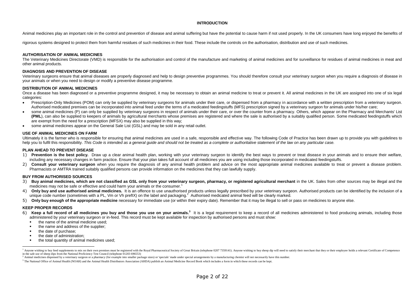#### **INTRODUCTION**

Animal medicines play an important role in the control and prevention of disease and animal suffering but have the potential to cause harm if not used properly. In the UK consumers have long enjoyed the benefits of

rigorous systems designed to protect them from harmful residues of such medicines in their food. These include the controls on the authorisation, distribution and use of such medicines.

#### **AUTHORISATION OF ANIMAL MEDICINES**

The Veterinary Medicines Directorate (VMD) is responsible for the authorisation and control of the manufacture and marketing of animal medicines and for surveillance for residues of animal medicines in meat and other animal products.

#### **DIAGNOSIS AND PREVENTION OF DISEASE**

Veterinary surgeons ensure that animal diseases are properly diagnosed and help to design preventive programmes. You should therefore consult your veterinary surgeon when you require a diagnosis of disease in your animals or when you need to design or modify a preventive disease programme.

#### **DISTRIBUTION OF ANIMAL MEDICINES**

Once a disease has been diagnosed or a preventive programme designed, it may be necessary to obtain an animal medicine to treat or prevent it. All animal medicines in the UK are assigned into one of six legal categories:

- Prescription-Only Medicines (POM) can only be supplied by veterinary surgeons for animals under their care, or dispensed from a pharmacy in accordance with a written prescription from a veterinary surgeon. Authorised medicated premixes can be incorporated into animal feed under the terms of a medicated feedingstuffs (MFS) prescription signed by a veterinary surgeon for animals under his/her care;
- some animal medicines (P) can only be supplied by veterinary surgeons in respect of animals under their care, or over the counter from a pharmacy. Others, which appear on the Pharmacy and Merchants' List **(PML**), can also be supplied to keepers of animals by agricultural merchants whose premises are registered and where the sale is authorised by a suitably qualified person. Some medicated feedingstuffs which are exempt from the need for a prescription (MFSX) may also be supplied in this way;
- some animal medicines appear on the General Sale List (GSL) and may be sold in any retail outlet.

#### **USE OF ANIMAL MEDICINES ON FARM**

Ultimately it is the farmer who is responsible for ensuring that animal medicines are used in a safe, responsible and effective way. The following Code of Practice has been drawn up to provide you with quidelines to help you to fulfil this responsibility. *This Code is intended as a general guide and should not be treated as a complete or authoritative statement of the law on any particular case.*

#### **PLAN AHEAD TO PREVENT DISEASE**

- 1) Prevention is the best policy. Draw up a clear animal health plan, working with your veterinary surgeon to identify the best ways to prevent or treat disease in your animals and to ensure their welfare, including any necessary changes in farm practice. Ensure that your plan takes full account of all medicines you are using including those incorporated in medicated feedingstuffs.
- 2) **Consult your veterinary surgeon** when you require the diagnosis of any animal health problem and advice on the most appropriate animal medicines available to treat or prevent a disease problem. Pharmacists or AMTRA trained suitably qualified persons can provide information on the medicines that they can lawfully supply.

#### **BUY FROM AUTHORISED SOURCES**

- 3) Buy animal medicines, which are not classified as GSL only from your veterinary surgeon, pharmacy, or registered agricultural merchant in the UK. Sales from other sources may be illegal and the medicines may not be safe or effective and could harm your animals or the consumer.<sup>1</sup>
- 4) Only buy and use authorised animal medicines. It is an offence to use unauthorised products unless legally prescribed by your veterinary surgeon. Authorised products can be identified by the inclusion of a unique code number (sometimes with a PL, Vm or Vh prefIX) on the label and packaging.<sup>2</sup> Authorised medicated animal feed will be clearly marked.
- 5) **Only buy enough of the appropriate medicine** necessary for immediate use (or within their expiry date). Remember that it may be illegal to sell or pass on medicines to anyone else.

#### **KEEP PROPER RECORDS**

- 6) Keep a full record of all medicines you buy and those you use on your animals.<sup>3</sup> It is a legal requirement to keep a record of all medicines administered to food producing animals, including those administered by your veterinary surgeon or in-feed. This record must be kept available for inspection by authorised persons and must show:
	- the name of the animal medicine used;
	- the name and address of the supplier;
	- the date of purchase;
	- the date of administration;
	- the total quantity of animal medicines used;

Anyone wishing to buy feed supplements to mix on their own premises must be registered with the Royal Pharmaceutical Society of Great Britain (telephone 0207 7359141). Anyone wishing to buy sheep dip will need to satisfy t in the safe use of sheep dips from the National Proficiency Test Council (telephone 01203 696553)

<sup>&</sup>lt;sup>2</sup> Animal medicines dispensed by a veterinary surgeon or a pharmacy (for example into smaller package sizes) or 'specials' made under special arrangements by a manufacturing chemist will not necessarily have this number.

<sup>&</sup>lt;sup>3</sup> The National Office of Animal Health (NOAH) and the Animal Health Distributors Association (AHDA) publish an Animal Medicine Record Book which includes a form in which these records can be kept.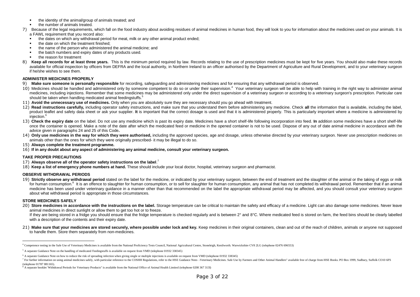- the identity of the animal/group of animals treated; and
- the number of animals treated.
- 7) Because of the legal requirements, which fall on the food industry about avoiding residues of animal medicines in human food, they will look to you for information about the medicines used on your animals. It is a FAWL requirement that you record also:
	- the dates on which any withdrawal period for meat, milk or any other animal product ended;
	- the date on which the treatment finished:
	- the name of the person who administered the animal medicine; and
	- the batch numbers and expiry dates of any products used.
	- the reason for treatment
- 8) **Keep all records for at least three years.** This is the minimum period required by law. Records relating to the use of prescription medicines must be kept for five years. You should also make these records available for official inspection by officers from DEFRA and the local authority, in Northern Ireland to an officer authorised by the Department of Agriculture and Rural Development, and to your veterinary surgeon if he/she wishes to see them.

#### **ADMINISTER MEDICINES PROPERLY**

- 9) **Make sure someone is personally responsible** for recording, safeguarding and administering medicines and for ensuring that any withdrawal period is observed.
- 10) Medicines should be handled and administered only by someone competent to do so or under their supervision.<sup>4</sup> Your veterinary surgeon will be able to help with training in the right way to administer animal medicines, including injections. Remember that some medicines may be administered only under the direct supervision of a veterinary surgeon or according to a veterinary surgeon's prescription. Particular care should be taken when handling medicated animal feedingstuffs.<sup>5</sup>
- 11) **Avoid the unnecessary use of medicines.** Only when you are absolutely sure they are necessary should you go ahead with treatment.
- 12) Read instructions carefully, including operator safety instructions, and make sure that you understand them before administering any medicine. Check all the information that is available, including the label. product leaflet and safety data sheet or ask your supplier. It is important that the correct dosage is used and that it is administered properly. This is particularly important where a medicine is administered by injection.<sup>6</sup>
- 13) Check the expiry date on the label. Do not use any medicine which is past its expiry date. Medicines have a short shelf-life following incorporation into feed. In addition some medicines have a short shelf-life once the container is opened. Make a note of the date after which the medicated feed or medicine in the opened container is not to be used. Dispose of any out of date animal medicine in accordance with the advice given in paragraphs 24 and 25 of this Code**.**
- 14) Only use medicines in the way for which they were authorised, including the approved species, age and dosage, unless otherwise directed by your veterinary surgeon. Never use prescription medicines on animals other than the ones for which they were originally prescribed- it may be illegal to do so.
- 15) **Always complete the treatment programme.**
- 16) **If in any doubt about any aspect of administering any animal medicine, consult your veterinary surgeon.**

#### **TAKE PROPER PRECAUTIONS**

- 17) **Always observe all of the operator safety instructions on the label**. 7
- 18) **Keep a list of emergency phone numbers at hand.** These should include your local doctor, hospital, veterinary surgeon and pharmacist.

#### **OBSERVE WITHDRAWAL PERIODS**

19) **Strictly observe any withdrawal period** stated on the label for the medicine, or indicated by your veterinary surgeon, between the end of treatment and the slaughter of the animal or the taking of eggs or milk for human consumption.<sup>8</sup> It is an offence to slaughter for human consumption, or to sell for slaughter for human consumption, any animal that has not completed its withdrawal period. Remember that if an animal medicine has been used under veterinary quidance in a manner other than that recommended on the label the appropriate withdrawal period may be affected, and you should consult your veterinary surgeon about what withdrawal period is appropriate in those circumstances.

#### **STORE MEDICINES SAFELY**

l

20) Store medicines in accordance with the instructions on the label. Storage temperature can be critical to maintain the safety and efficacy of a medicine. Light can also damage some medicines. Never leave animal medicines in direct sunlight or allow them to get too hot or to freeze.

If they are being stored in a fridge you should ensure that the fridge temperature is checked regularly and is between 2° and 8°C. Where medicated feed is stored on farm, the feed bins should be clearly labelled with a description of the contents and their expiry date.

21) Make sure that your medicines are stored securely, where possible under lock and key. Keep medicines in their original containers, clean and out of the reach of children, animals or anyone not supposed to handle them. Store them separately from non-medicines.

<sup>4</sup> Competence testing in the Safe Use of Veterinary Medicines is available from the National Proficiency Tests Council, National Agricultural Centre, Stoneleigh, Kenilworth. Warwickshire CV8 2LG (telephone 02476 696553)

<sup>5</sup> A separate Guidance Note on the handling of medicated f'eedingstuffs is available on request from VMD (telephone 01932 338345)

<sup>6</sup> A separate Guidance Note on how to reduce the risk of spreading infection when giving single or multiple injections is available on request from VMD (telephone 01932 338345)

<sup>7</sup> For further information on using animal medicines safely, with particular reference to the COSHH Regulations, refer to the HSE Guidance Note--Veterinary Medicines. Safe Use by Farmers and Other Animal Handlers" available (telephone 01787 881165).

 $8$  A separate booklet 'Withdrawal Periods for Veterinary Products" is available from the National Office of Animal Health Limited (telephone 0208 367 313l)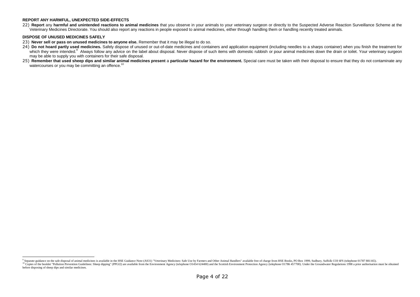#### **REPORT ANY HARMFUL, UNEXPECTED SIDE-EFFECTS**

22) Report any harmful and unintended reactions to animal medicines that you observe in your animals to your veterinary surgeon or directly to the Suspected Adverse Reaction Surveillance Scheme at the Veterinary Medicines Directorate. You should also report any reactions in people exposed to animal medicines, either through handling them or handling recently treated animals.

#### **DISPOSE OF UNUSED MEDICINES SAFELY**

23) **Never sell or pass on unused medicines to anyone else.** Remember that it may be illegal to do so.

- 24) Do not hoard partly used medicines. Safely dispose of unused or out-of-date medicines and containers and application equipment (including needles to a sharps container) when you finish the treatment for which they were intended.<sup>9</sup> Always follow any advice on the label about disposal. Never dispose of such items with domestic rubbish or pour animal medicines down the drain or toilet. Your veterinary surgeon may be able to supply you with containers for their safe disposal.
- 25) Remember that used sheep dips and similar animal medicines present a particular hazard for the environment. Special care must be taken with their disposal to ensure that they do not contaminate any watercourses or you may be committing an offence.<sup>10</sup>

<sup>9</sup> Separate guidance on the safe disposal of animal medicines is available in the HSE Guidance Note-(AS31) "Veterinary Medicines: Safe Use by Farmers and Other Animal Handlers" available free of charge from HSE Books, PO Bo <sup>10</sup> Copies of the booklet "Pollution Prevention Guidelines: Sheep dipping" (PPGI2) are available from the Environment Agency (telephone O1454 624400) and the Scottish Environment Protection Agency (telephone O1786 457700) before disposing of sheep dips and similar medicines.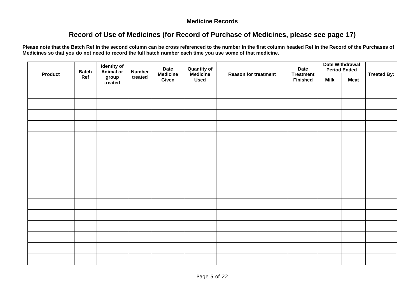### **Medicine Records**

## **Record of Use of Medicines (for Record of Purchase of Medicines, please see page 17)**

**Please note that the Batch Ref in the second column can be cross referenced to the number in the first column headed Ref in the Record of the Purchases of Medicines so that you do not need to record the full batch number each time you use some of that medicine.**

|                | <b>Batch</b> | <b>Identity of</b><br>Animal or | <b>Number</b> | <b>Date</b>              | <b>Quantity of</b>      |                             | <b>Date</b>                         |             | <b>Date Withdrawal</b><br><b>Period Ended</b> |                    |
|----------------|--------------|---------------------------------|---------------|--------------------------|-------------------------|-----------------------------|-------------------------------------|-------------|-----------------------------------------------|--------------------|
| <b>Product</b> | Ref          | group<br>treated                | treated       | <b>Medicine</b><br>Given | Medicine<br><b>Used</b> | <b>Reason for treatment</b> | <b>Treatment</b><br><b>Finished</b> | <b>Milk</b> | <b>Meat</b>                                   | <b>Treated By:</b> |
|                |              |                                 |               |                          |                         |                             |                                     |             |                                               |                    |
|                |              |                                 |               |                          |                         |                             |                                     |             |                                               |                    |
|                |              |                                 |               |                          |                         |                             |                                     |             |                                               |                    |
|                |              |                                 |               |                          |                         |                             |                                     |             |                                               |                    |
|                |              |                                 |               |                          |                         |                             |                                     |             |                                               |                    |
|                |              |                                 |               |                          |                         |                             |                                     |             |                                               |                    |
|                |              |                                 |               |                          |                         |                             |                                     |             |                                               |                    |
|                |              |                                 |               |                          |                         |                             |                                     |             |                                               |                    |
|                |              |                                 |               |                          |                         |                             |                                     |             |                                               |                    |
|                |              |                                 |               |                          |                         |                             |                                     |             |                                               |                    |
|                |              |                                 |               |                          |                         |                             |                                     |             |                                               |                    |
|                |              |                                 |               |                          |                         |                             |                                     |             |                                               |                    |
|                |              |                                 |               |                          |                         |                             |                                     |             |                                               |                    |
|                |              |                                 |               |                          |                         |                             |                                     |             |                                               |                    |
|                |              |                                 |               |                          |                         |                             |                                     |             |                                               |                    |
|                |              |                                 |               |                          |                         |                             |                                     |             |                                               |                    |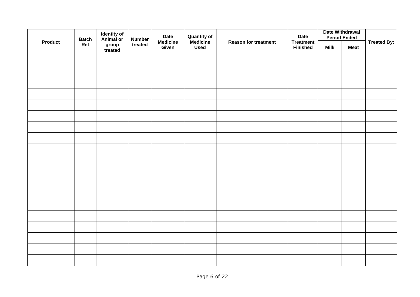|                | <b>Batch</b> | <b>Identity of</b><br>Animal or | <b>Number</b> | <b>Date</b> | <b>Date Withdrawal</b><br><b>Quantity of</b><br>Medicine<br><b>Date</b><br><b>Period Ended</b><br><b>Medicine</b><br><b>Reason for treatment</b><br><b>Treatment</b> |                 |             |             |                    |
|----------------|--------------|---------------------------------|---------------|-------------|----------------------------------------------------------------------------------------------------------------------------------------------------------------------|-----------------|-------------|-------------|--------------------|
| <b>Product</b> | Ref          | group<br>treated                | treated       | Given       | <b>Used</b>                                                                                                                                                          | <b>Finished</b> | <b>Milk</b> | <b>Meat</b> | <b>Treated By:</b> |
|                |              |                                 |               |             |                                                                                                                                                                      |                 |             |             |                    |
|                |              |                                 |               |             |                                                                                                                                                                      |                 |             |             |                    |
|                |              |                                 |               |             |                                                                                                                                                                      |                 |             |             |                    |
|                |              |                                 |               |             |                                                                                                                                                                      |                 |             |             |                    |
|                |              |                                 |               |             |                                                                                                                                                                      |                 |             |             |                    |
|                |              |                                 |               |             |                                                                                                                                                                      |                 |             |             |                    |
|                |              |                                 |               |             |                                                                                                                                                                      |                 |             |             |                    |
|                |              |                                 |               |             |                                                                                                                                                                      |                 |             |             |                    |
|                |              |                                 |               |             |                                                                                                                                                                      |                 |             |             |                    |
|                |              |                                 |               |             |                                                                                                                                                                      |                 |             |             |                    |
|                |              |                                 |               |             |                                                                                                                                                                      |                 |             |             |                    |
|                |              |                                 |               |             |                                                                                                                                                                      |                 |             |             |                    |
|                |              |                                 |               |             |                                                                                                                                                                      |                 |             |             |                    |
|                |              |                                 |               |             |                                                                                                                                                                      |                 |             |             |                    |
|                |              |                                 |               |             |                                                                                                                                                                      |                 |             |             |                    |
|                |              |                                 |               |             |                                                                                                                                                                      |                 |             |             |                    |
|                |              |                                 |               |             |                                                                                                                                                                      |                 |             |             |                    |
|                |              |                                 |               |             |                                                                                                                                                                      |                 |             |             |                    |
|                |              |                                 |               |             |                                                                                                                                                                      |                 |             |             |                    |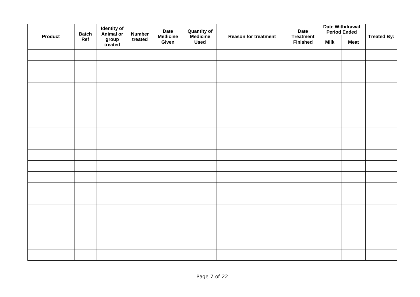| <b>Identity of<br/>Animal or</b><br><b>Number</b><br><b>Batch</b><br><b>Product</b> |                  | <b>Date</b> | <b>Quantity of<br/>Medicine</b><br><b>Medicine</b><br><b>Reason for treatment</b> |             |  |                                     | <b>Date Withdrawal</b><br><b>Period Ended</b> | <b>Treated By:</b> |  |
|-------------------------------------------------------------------------------------|------------------|-------------|-----------------------------------------------------------------------------------|-------------|--|-------------------------------------|-----------------------------------------------|--------------------|--|
| Ref                                                                                 | group<br>treated | treated     | Given                                                                             | <b>Used</b> |  | <b>Treatment</b><br><b>Finished</b> | <b>Milk</b>                                   | <b>Meat</b>        |  |
|                                                                                     |                  |             |                                                                                   |             |  |                                     |                                               |                    |  |
|                                                                                     |                  |             |                                                                                   |             |  |                                     |                                               |                    |  |
|                                                                                     |                  |             |                                                                                   |             |  |                                     |                                               |                    |  |
|                                                                                     |                  |             |                                                                                   |             |  |                                     |                                               |                    |  |
|                                                                                     |                  |             |                                                                                   |             |  |                                     |                                               |                    |  |
|                                                                                     |                  |             |                                                                                   |             |  |                                     |                                               |                    |  |
|                                                                                     |                  |             |                                                                                   |             |  |                                     |                                               |                    |  |
|                                                                                     |                  |             |                                                                                   |             |  |                                     |                                               |                    |  |
|                                                                                     |                  |             |                                                                                   |             |  |                                     |                                               |                    |  |
|                                                                                     |                  |             |                                                                                   |             |  |                                     |                                               |                    |  |
|                                                                                     |                  |             |                                                                                   |             |  |                                     |                                               |                    |  |
|                                                                                     |                  |             |                                                                                   |             |  |                                     |                                               |                    |  |
|                                                                                     |                  |             |                                                                                   |             |  |                                     |                                               |                    |  |
|                                                                                     |                  |             |                                                                                   |             |  |                                     |                                               |                    |  |
|                                                                                     |                  |             |                                                                                   |             |  |                                     |                                               |                    |  |
|                                                                                     |                  |             |                                                                                   |             |  |                                     |                                               |                    |  |
|                                                                                     |                  |             |                                                                                   |             |  |                                     |                                               |                    |  |
|                                                                                     |                  |             |                                                                                   |             |  |                                     |                                               |                    |  |
|                                                                                     |                  |             |                                                                                   |             |  |                                     |                                               |                    |  |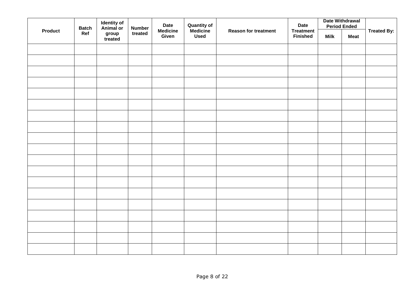|                | <b>Batch</b> | <b>Identity of</b><br>Animal or | <b>Number</b> | Date Withdrawal<br><b>Date</b><br><b>Quantity of</b><br>Medicine<br><b>Date</b><br><b>Period Ended</b><br><b>Medicine</b><br><b>Reason for treatment</b><br><b>Treatment</b> |             |                 |             |             |                    |
|----------------|--------------|---------------------------------|---------------|------------------------------------------------------------------------------------------------------------------------------------------------------------------------------|-------------|-----------------|-------------|-------------|--------------------|
| <b>Product</b> | Ref          | group<br>treated                | treated       | Given                                                                                                                                                                        | <b>Used</b> | <b>Finished</b> | <b>Milk</b> | <b>Meat</b> | <b>Treated By:</b> |
|                |              |                                 |               |                                                                                                                                                                              |             |                 |             |             |                    |
|                |              |                                 |               |                                                                                                                                                                              |             |                 |             |             |                    |
|                |              |                                 |               |                                                                                                                                                                              |             |                 |             |             |                    |
|                |              |                                 |               |                                                                                                                                                                              |             |                 |             |             |                    |
|                |              |                                 |               |                                                                                                                                                                              |             |                 |             |             |                    |
|                |              |                                 |               |                                                                                                                                                                              |             |                 |             |             |                    |
|                |              |                                 |               |                                                                                                                                                                              |             |                 |             |             |                    |
|                |              |                                 |               |                                                                                                                                                                              |             |                 |             |             |                    |
|                |              |                                 |               |                                                                                                                                                                              |             |                 |             |             |                    |
|                |              |                                 |               |                                                                                                                                                                              |             |                 |             |             |                    |
|                |              |                                 |               |                                                                                                                                                                              |             |                 |             |             |                    |
|                |              |                                 |               |                                                                                                                                                                              |             |                 |             |             |                    |
|                |              |                                 |               |                                                                                                                                                                              |             |                 |             |             |                    |
|                |              |                                 |               |                                                                                                                                                                              |             |                 |             |             |                    |
|                |              |                                 |               |                                                                                                                                                                              |             |                 |             |             |                    |
|                |              |                                 |               |                                                                                                                                                                              |             |                 |             |             |                    |
|                |              |                                 |               |                                                                                                                                                                              |             |                 |             |             |                    |
|                |              |                                 |               |                                                                                                                                                                              |             |                 |             |             |                    |
|                |              |                                 |               |                                                                                                                                                                              |             |                 |             |             |                    |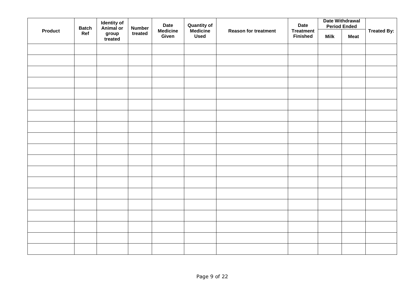|                | <b>Identity of</b><br>Animal or<br><b>Number</b><br><b>Batch</b> |                  | <b>Date</b> | <b>Quantity of<br/>Medicine</b> | <b>Reason for treatment</b> |  |                                     | Date Withdrawal<br><b>Period Ended</b> |             |                    |
|----------------|------------------------------------------------------------------|------------------|-------------|---------------------------------|-----------------------------|--|-------------------------------------|----------------------------------------|-------------|--------------------|
| <b>Product</b> | Ref                                                              | group<br>treated | treated     | <b>Medicine</b><br>Given        | <b>Used</b>                 |  | <b>Treatment</b><br><b>Finished</b> | <b>Milk</b>                            | <b>Meat</b> | <b>Treated By:</b> |
|                |                                                                  |                  |             |                                 |                             |  |                                     |                                        |             |                    |
|                |                                                                  |                  |             |                                 |                             |  |                                     |                                        |             |                    |
|                |                                                                  |                  |             |                                 |                             |  |                                     |                                        |             |                    |
|                |                                                                  |                  |             |                                 |                             |  |                                     |                                        |             |                    |
|                |                                                                  |                  |             |                                 |                             |  |                                     |                                        |             |                    |
|                |                                                                  |                  |             |                                 |                             |  |                                     |                                        |             |                    |
|                |                                                                  |                  |             |                                 |                             |  |                                     |                                        |             |                    |
|                |                                                                  |                  |             |                                 |                             |  |                                     |                                        |             |                    |
|                |                                                                  |                  |             |                                 |                             |  |                                     |                                        |             |                    |
|                |                                                                  |                  |             |                                 |                             |  |                                     |                                        |             |                    |
|                |                                                                  |                  |             |                                 |                             |  |                                     |                                        |             |                    |
|                |                                                                  |                  |             |                                 |                             |  |                                     |                                        |             |                    |
|                |                                                                  |                  |             |                                 |                             |  |                                     |                                        |             |                    |
|                |                                                                  |                  |             |                                 |                             |  |                                     |                                        |             |                    |
|                |                                                                  |                  |             |                                 |                             |  |                                     |                                        |             |                    |
|                |                                                                  |                  |             |                                 |                             |  |                                     |                                        |             |                    |
|                |                                                                  |                  |             |                                 |                             |  |                                     |                                        |             |                    |
|                |                                                                  |                  |             |                                 |                             |  |                                     |                                        |             |                    |
|                |                                                                  |                  |             |                                 |                             |  |                                     |                                        |             |                    |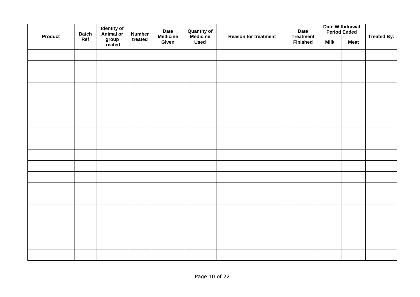|                | <b>Batch</b> | <b>Identity of</b><br>Animal or | <b>Number</b> | <b>Quantity of<br/>Medicine</b><br><b>Date</b><br><b>Date</b><br><b>Medicine</b><br><b>Reason for treatment</b><br><b>Treatment</b> |             | <b>Date Withdrawal</b><br><b>Period Ended</b> |             |             |                    |
|----------------|--------------|---------------------------------|---------------|-------------------------------------------------------------------------------------------------------------------------------------|-------------|-----------------------------------------------|-------------|-------------|--------------------|
| <b>Product</b> | Ref          | group<br>treated                | treated       | Given                                                                                                                               | <b>Used</b> | <b>Finished</b>                               | <b>Milk</b> | <b>Meat</b> | <b>Treated By:</b> |
|                |              |                                 |               |                                                                                                                                     |             |                                               |             |             |                    |
|                |              |                                 |               |                                                                                                                                     |             |                                               |             |             |                    |
|                |              |                                 |               |                                                                                                                                     |             |                                               |             |             |                    |
|                |              |                                 |               |                                                                                                                                     |             |                                               |             |             |                    |
|                |              |                                 |               |                                                                                                                                     |             |                                               |             |             |                    |
|                |              |                                 |               |                                                                                                                                     |             |                                               |             |             |                    |
|                |              |                                 |               |                                                                                                                                     |             |                                               |             |             |                    |
|                |              |                                 |               |                                                                                                                                     |             |                                               |             |             |                    |
|                |              |                                 |               |                                                                                                                                     |             |                                               |             |             |                    |
|                |              |                                 |               |                                                                                                                                     |             |                                               |             |             |                    |
|                |              |                                 |               |                                                                                                                                     |             |                                               |             |             |                    |
|                |              |                                 |               |                                                                                                                                     |             |                                               |             |             |                    |
|                |              |                                 |               |                                                                                                                                     |             |                                               |             |             |                    |
|                |              |                                 |               |                                                                                                                                     |             |                                               |             |             |                    |
|                |              |                                 |               |                                                                                                                                     |             |                                               |             |             |                    |
|                |              |                                 |               |                                                                                                                                     |             |                                               |             |             |                    |
|                |              |                                 |               |                                                                                                                                     |             |                                               |             |             |                    |
|                |              |                                 |               |                                                                                                                                     |             |                                               |             |             |                    |
|                |              |                                 |               |                                                                                                                                     |             |                                               |             |             |                    |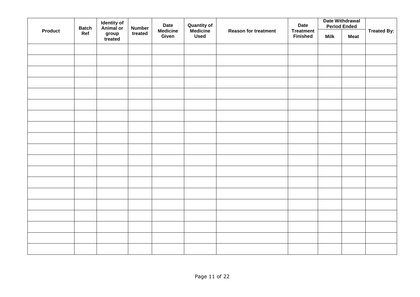| <b>Product</b> | <b>Batch</b> | <b>Identity of</b><br>Animal or | <b>Number</b> | <b>Date</b>              | <b>Quantity of</b><br>Medicine | <b>Date</b><br><b>Reason for treatment</b><br><b>Treatment</b> | Date Withdrawal<br><b>Period Ended</b> |             | <b>Treated By:</b> |
|----------------|--------------|---------------------------------|---------------|--------------------------|--------------------------------|----------------------------------------------------------------|----------------------------------------|-------------|--------------------|
|                | Ref          | group<br>treated                | treated       | <b>Medicine</b><br>Given | <b>Used</b>                    | <b>Finished</b>                                                | <b>Milk</b>                            | <b>Meat</b> |                    |
|                |              |                                 |               |                          |                                |                                                                |                                        |             |                    |
|                |              |                                 |               |                          |                                |                                                                |                                        |             |                    |
|                |              |                                 |               |                          |                                |                                                                |                                        |             |                    |
|                |              |                                 |               |                          |                                |                                                                |                                        |             |                    |
|                |              |                                 |               |                          |                                |                                                                |                                        |             |                    |
|                |              |                                 |               |                          |                                |                                                                |                                        |             |                    |
|                |              |                                 |               |                          |                                |                                                                |                                        |             |                    |
|                |              |                                 |               |                          |                                |                                                                |                                        |             |                    |
|                |              |                                 |               |                          |                                |                                                                |                                        |             |                    |
|                |              |                                 |               |                          |                                |                                                                |                                        |             |                    |
|                |              |                                 |               |                          |                                |                                                                |                                        |             |                    |
|                |              |                                 |               |                          |                                |                                                                |                                        |             |                    |
|                |              |                                 |               |                          |                                |                                                                |                                        |             |                    |
|                |              |                                 |               |                          |                                |                                                                |                                        |             |                    |
|                |              |                                 |               |                          |                                |                                                                |                                        |             |                    |
|                |              |                                 |               |                          |                                |                                                                |                                        |             |                    |
|                |              |                                 |               |                          |                                |                                                                |                                        |             |                    |
|                |              |                                 |               |                          |                                |                                                                |                                        |             |                    |
|                |              |                                 |               |                          |                                |                                                                |                                        |             |                    |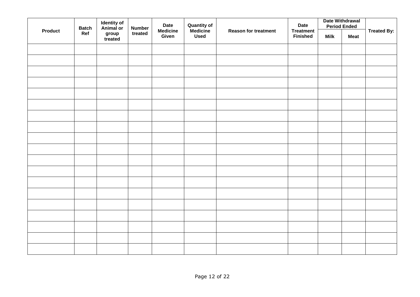| <b>Product</b> |     | <b>Identity of</b><br>Animal or<br><b>Batch</b> |         | <b>Number</b>            |             | <b>Date</b>                 | <b>Quantity of</b><br>Medicine      |             | <b>Date</b> |                    | Date Withdrawal<br><b>Period Ended</b> |  |
|----------------|-----|-------------------------------------------------|---------|--------------------------|-------------|-----------------------------|-------------------------------------|-------------|-------------|--------------------|----------------------------------------|--|
|                | Ref | group<br>treated                                | treated | <b>Medicine</b><br>Given | <b>Used</b> | <b>Reason for treatment</b> | <b>Treatment</b><br><b>Finished</b> | <b>Milk</b> | <b>Meat</b> | <b>Treated By:</b> |                                        |  |
|                |     |                                                 |         |                          |             |                             |                                     |             |             |                    |                                        |  |
|                |     |                                                 |         |                          |             |                             |                                     |             |             |                    |                                        |  |
|                |     |                                                 |         |                          |             |                             |                                     |             |             |                    |                                        |  |
|                |     |                                                 |         |                          |             |                             |                                     |             |             |                    |                                        |  |
|                |     |                                                 |         |                          |             |                             |                                     |             |             |                    |                                        |  |
|                |     |                                                 |         |                          |             |                             |                                     |             |             |                    |                                        |  |
|                |     |                                                 |         |                          |             |                             |                                     |             |             |                    |                                        |  |
|                |     |                                                 |         |                          |             |                             |                                     |             |             |                    |                                        |  |
|                |     |                                                 |         |                          |             |                             |                                     |             |             |                    |                                        |  |
|                |     |                                                 |         |                          |             |                             |                                     |             |             |                    |                                        |  |
|                |     |                                                 |         |                          |             |                             |                                     |             |             |                    |                                        |  |
|                |     |                                                 |         |                          |             |                             |                                     |             |             |                    |                                        |  |
|                |     |                                                 |         |                          |             |                             |                                     |             |             |                    |                                        |  |
|                |     |                                                 |         |                          |             |                             |                                     |             |             |                    |                                        |  |
|                |     |                                                 |         |                          |             |                             |                                     |             |             |                    |                                        |  |
|                |     |                                                 |         |                          |             |                             |                                     |             |             |                    |                                        |  |
|                |     |                                                 |         |                          |             |                             |                                     |             |             |                    |                                        |  |
|                |     |                                                 |         |                          |             |                             |                                     |             |             |                    |                                        |  |
|                |     |                                                 |         |                          |             |                             |                                     |             |             |                    |                                        |  |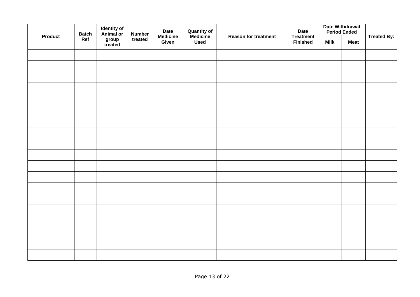|                | <b>Batch</b> | <b>Identity of</b><br>Animal or | <b>Number</b> | <b>Date</b>              | <b>Quantity of<br/>Medicine</b> |                             | <b>Date</b>                         | <b>Date Withdrawal</b><br><b>Period Ended</b> |             | <b>Treated By:</b> |
|----------------|--------------|---------------------------------|---------------|--------------------------|---------------------------------|-----------------------------|-------------------------------------|-----------------------------------------------|-------------|--------------------|
| <b>Product</b> | Ref          | group<br>treated                | treated       | <b>Medicine</b><br>Given | <b>Used</b>                     | <b>Reason for treatment</b> | <b>Treatment</b><br><b>Finished</b> | <b>Milk</b>                                   | <b>Meat</b> |                    |
|                |              |                                 |               |                          |                                 |                             |                                     |                                               |             |                    |
|                |              |                                 |               |                          |                                 |                             |                                     |                                               |             |                    |
|                |              |                                 |               |                          |                                 |                             |                                     |                                               |             |                    |
|                |              |                                 |               |                          |                                 |                             |                                     |                                               |             |                    |
|                |              |                                 |               |                          |                                 |                             |                                     |                                               |             |                    |
|                |              |                                 |               |                          |                                 |                             |                                     |                                               |             |                    |
|                |              |                                 |               |                          |                                 |                             |                                     |                                               |             |                    |
|                |              |                                 |               |                          |                                 |                             |                                     |                                               |             |                    |
|                |              |                                 |               |                          |                                 |                             |                                     |                                               |             |                    |
|                |              |                                 |               |                          |                                 |                             |                                     |                                               |             |                    |
|                |              |                                 |               |                          |                                 |                             |                                     |                                               |             |                    |
|                |              |                                 |               |                          |                                 |                             |                                     |                                               |             |                    |
|                |              |                                 |               |                          |                                 |                             |                                     |                                               |             |                    |
|                |              |                                 |               |                          |                                 |                             |                                     |                                               |             |                    |
|                |              |                                 |               |                          |                                 |                             |                                     |                                               |             |                    |
|                |              |                                 |               |                          |                                 |                             |                                     |                                               |             |                    |
|                |              |                                 |               |                          |                                 |                             |                                     |                                               |             |                    |
|                |              |                                 |               |                          |                                 |                             |                                     |                                               |             |                    |
|                |              |                                 |               |                          |                                 |                             |                                     |                                               |             |                    |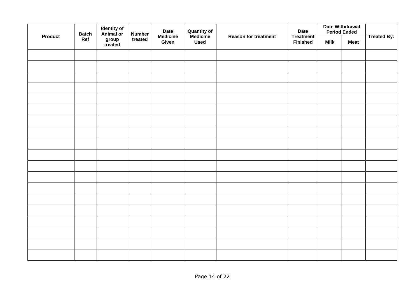|                | <b>Batch</b> | <b>Identity of</b><br>Animal or | <b>Number</b> | <b>Date</b>              | <b>Quantity of<br/>Medicine</b> |                             | <b>Date</b>                         | <b>Date Withdrawal</b><br><b>Period Ended</b> |             | <b>Treated By:</b> |
|----------------|--------------|---------------------------------|---------------|--------------------------|---------------------------------|-----------------------------|-------------------------------------|-----------------------------------------------|-------------|--------------------|
| <b>Product</b> | Ref          | group<br>treated                | treated       | <b>Medicine</b><br>Given | <b>Used</b>                     | <b>Reason for treatment</b> | <b>Treatment</b><br><b>Finished</b> | <b>Milk</b>                                   | <b>Meat</b> |                    |
|                |              |                                 |               |                          |                                 |                             |                                     |                                               |             |                    |
|                |              |                                 |               |                          |                                 |                             |                                     |                                               |             |                    |
|                |              |                                 |               |                          |                                 |                             |                                     |                                               |             |                    |
|                |              |                                 |               |                          |                                 |                             |                                     |                                               |             |                    |
|                |              |                                 |               |                          |                                 |                             |                                     |                                               |             |                    |
|                |              |                                 |               |                          |                                 |                             |                                     |                                               |             |                    |
|                |              |                                 |               |                          |                                 |                             |                                     |                                               |             |                    |
|                |              |                                 |               |                          |                                 |                             |                                     |                                               |             |                    |
|                |              |                                 |               |                          |                                 |                             |                                     |                                               |             |                    |
|                |              |                                 |               |                          |                                 |                             |                                     |                                               |             |                    |
|                |              |                                 |               |                          |                                 |                             |                                     |                                               |             |                    |
|                |              |                                 |               |                          |                                 |                             |                                     |                                               |             |                    |
|                |              |                                 |               |                          |                                 |                             |                                     |                                               |             |                    |
|                |              |                                 |               |                          |                                 |                             |                                     |                                               |             |                    |
|                |              |                                 |               |                          |                                 |                             |                                     |                                               |             |                    |
|                |              |                                 |               |                          |                                 |                             |                                     |                                               |             |                    |
|                |              |                                 |               |                          |                                 |                             |                                     |                                               |             |                    |
|                |              |                                 |               |                          |                                 |                             |                                     |                                               |             |                    |
|                |              |                                 |               |                          |                                 |                             |                                     |                                               |             |                    |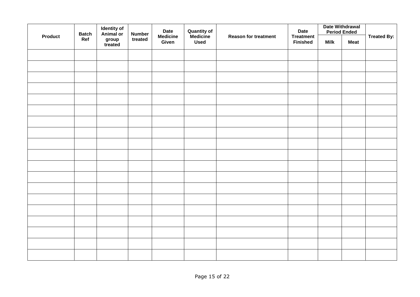|                | <b>Batch</b> | <b>Identity of</b><br>Animal or | <b>Number</b> | <b>Date</b>              | <b>Quantity of<br/>Medicine</b> |                             | <b>Date</b>                         | <b>Date Withdrawal</b><br><b>Period Ended</b> |             | <b>Treated By:</b> |
|----------------|--------------|---------------------------------|---------------|--------------------------|---------------------------------|-----------------------------|-------------------------------------|-----------------------------------------------|-------------|--------------------|
| <b>Product</b> | Ref          | group<br>treated                | treated       | <b>Medicine</b><br>Given | <b>Used</b>                     | <b>Reason for treatment</b> | <b>Treatment</b><br><b>Finished</b> | <b>Milk</b>                                   | <b>Meat</b> |                    |
|                |              |                                 |               |                          |                                 |                             |                                     |                                               |             |                    |
|                |              |                                 |               |                          |                                 |                             |                                     |                                               |             |                    |
|                |              |                                 |               |                          |                                 |                             |                                     |                                               |             |                    |
|                |              |                                 |               |                          |                                 |                             |                                     |                                               |             |                    |
|                |              |                                 |               |                          |                                 |                             |                                     |                                               |             |                    |
|                |              |                                 |               |                          |                                 |                             |                                     |                                               |             |                    |
|                |              |                                 |               |                          |                                 |                             |                                     |                                               |             |                    |
|                |              |                                 |               |                          |                                 |                             |                                     |                                               |             |                    |
|                |              |                                 |               |                          |                                 |                             |                                     |                                               |             |                    |
|                |              |                                 |               |                          |                                 |                             |                                     |                                               |             |                    |
|                |              |                                 |               |                          |                                 |                             |                                     |                                               |             |                    |
|                |              |                                 |               |                          |                                 |                             |                                     |                                               |             |                    |
|                |              |                                 |               |                          |                                 |                             |                                     |                                               |             |                    |
|                |              |                                 |               |                          |                                 |                             |                                     |                                               |             |                    |
|                |              |                                 |               |                          |                                 |                             |                                     |                                               |             |                    |
|                |              |                                 |               |                          |                                 |                             |                                     |                                               |             |                    |
|                |              |                                 |               |                          |                                 |                             |                                     |                                               |             |                    |
|                |              |                                 |               |                          |                                 |                             |                                     |                                               |             |                    |
|                |              |                                 |               |                          |                                 |                             |                                     |                                               |             |                    |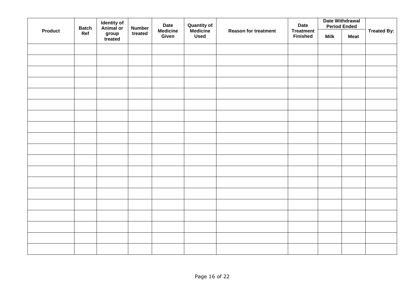|  | <b>Batch</b><br><b>Product</b> |                  | <b>Identity of</b><br>Animal or<br><b>Number</b> |                          |             | <b>Date</b> | <b>Quantity of</b><br>Medicine | Date Withdrawal<br><b>Date</b><br><b>Period Ended</b><br><b>Reason for treatment</b><br><b>Treatment</b> |             |  |  | <b>Treated By:</b> |
|--|--------------------------------|------------------|--------------------------------------------------|--------------------------|-------------|-------------|--------------------------------|----------------------------------------------------------------------------------------------------------|-------------|--|--|--------------------|
|  | Ref                            | group<br>treated | treated                                          | <b>Medicine</b><br>Given | <b>Used</b> |             | <b>Finished</b>                | <b>Milk</b>                                                                                              | <b>Meat</b> |  |  |                    |
|  |                                |                  |                                                  |                          |             |             |                                |                                                                                                          |             |  |  |                    |
|  |                                |                  |                                                  |                          |             |             |                                |                                                                                                          |             |  |  |                    |
|  |                                |                  |                                                  |                          |             |             |                                |                                                                                                          |             |  |  |                    |
|  |                                |                  |                                                  |                          |             |             |                                |                                                                                                          |             |  |  |                    |
|  |                                |                  |                                                  |                          |             |             |                                |                                                                                                          |             |  |  |                    |
|  |                                |                  |                                                  |                          |             |             |                                |                                                                                                          |             |  |  |                    |
|  |                                |                  |                                                  |                          |             |             |                                |                                                                                                          |             |  |  |                    |
|  |                                |                  |                                                  |                          |             |             |                                |                                                                                                          |             |  |  |                    |
|  |                                |                  |                                                  |                          |             |             |                                |                                                                                                          |             |  |  |                    |
|  |                                |                  |                                                  |                          |             |             |                                |                                                                                                          |             |  |  |                    |
|  |                                |                  |                                                  |                          |             |             |                                |                                                                                                          |             |  |  |                    |
|  |                                |                  |                                                  |                          |             |             |                                |                                                                                                          |             |  |  |                    |
|  |                                |                  |                                                  |                          |             |             |                                |                                                                                                          |             |  |  |                    |
|  |                                |                  |                                                  |                          |             |             |                                |                                                                                                          |             |  |  |                    |
|  |                                |                  |                                                  |                          |             |             |                                |                                                                                                          |             |  |  |                    |
|  |                                |                  |                                                  |                          |             |             |                                |                                                                                                          |             |  |  |                    |
|  |                                |                  |                                                  |                          |             |             |                                |                                                                                                          |             |  |  |                    |
|  |                                |                  |                                                  |                          |             |             |                                |                                                                                                          |             |  |  |                    |
|  |                                |                  |                                                  |                          |             |             |                                |                                                                                                          |             |  |  |                    |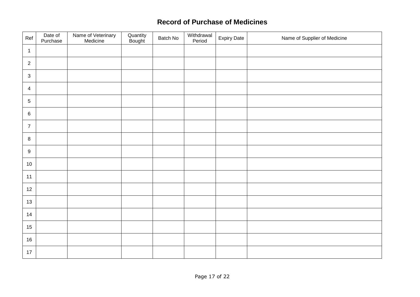## **Record of Purchase of Medicines**

| Ref            | Date of<br>Purchase | Name of Veterinary<br>Medicine | Quantity<br>Bought | Batch No | Withdrawal<br>Period | <b>Expiry Date</b> | Name of Supplier of Medicine |
|----------------|---------------------|--------------------------------|--------------------|----------|----------------------|--------------------|------------------------------|
| $\overline{1}$ |                     |                                |                    |          |                      |                    |                              |
| $\overline{2}$ |                     |                                |                    |          |                      |                    |                              |
| $\sqrt{3}$     |                     |                                |                    |          |                      |                    |                              |
| $\overline{4}$ |                     |                                |                    |          |                      |                    |                              |
| $\sqrt{5}$     |                     |                                |                    |          |                      |                    |                              |
| $\,6\,$        |                     |                                |                    |          |                      |                    |                              |
| $\overline{7}$ |                     |                                |                    |          |                      |                    |                              |
| $\,8\,$        |                     |                                |                    |          |                      |                    |                              |
| $9\,$          |                     |                                |                    |          |                      |                    |                              |
| 10             |                     |                                |                    |          |                      |                    |                              |
| 11             |                     |                                |                    |          |                      |                    |                              |
| 12             |                     |                                |                    |          |                      |                    |                              |
| 13             |                     |                                |                    |          |                      |                    |                              |
| 14             |                     |                                |                    |          |                      |                    |                              |
| 15             |                     |                                |                    |          |                      |                    |                              |
| 16             |                     |                                |                    |          |                      |                    |                              |
| 17             |                     |                                |                    |          |                      |                    |                              |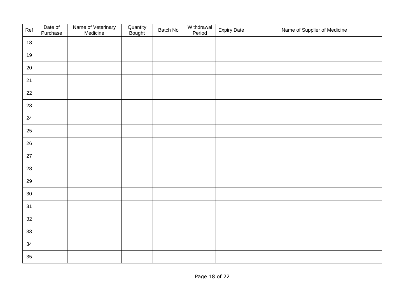| Ref    | Date of<br>Purchase | Name of Veterinary<br>Medicine | Quantity<br>Bought | Batch No | Withdrawal<br>Period | <b>Expiry Date</b> | Name of Supplier of Medicine |
|--------|---------------------|--------------------------------|--------------------|----------|----------------------|--------------------|------------------------------|
| 18     |                     |                                |                    |          |                      |                    |                              |
| 19     |                     |                                |                    |          |                      |                    |                              |
| 20     |                     |                                |                    |          |                      |                    |                              |
| 21     |                     |                                |                    |          |                      |                    |                              |
| 22     |                     |                                |                    |          |                      |                    |                              |
| 23     |                     |                                |                    |          |                      |                    |                              |
| 24     |                     |                                |                    |          |                      |                    |                              |
| 25     |                     |                                |                    |          |                      |                    |                              |
| 26     |                     |                                |                    |          |                      |                    |                              |
| $27\,$ |                     |                                |                    |          |                      |                    |                              |
| 28     |                     |                                |                    |          |                      |                    |                              |
| 29     |                     |                                |                    |          |                      |                    |                              |
| 30     |                     |                                |                    |          |                      |                    |                              |
| 31     |                     |                                |                    |          |                      |                    |                              |
| 32     |                     |                                |                    |          |                      |                    |                              |
| 33     |                     |                                |                    |          |                      |                    |                              |
| 34     |                     |                                |                    |          |                      |                    |                              |
| 35     |                     |                                |                    |          |                      |                    |                              |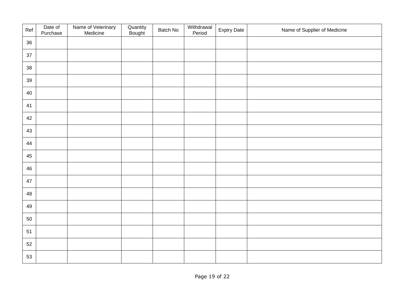| Ref | Date of<br>Purchase | Name of Veterinary<br>Medicine | Quantity<br>Bought | Batch No | Withdrawal<br>Period | <b>Expiry Date</b> | Name of Supplier of Medicine |
|-----|---------------------|--------------------------------|--------------------|----------|----------------------|--------------------|------------------------------|
| 36  |                     |                                |                    |          |                      |                    |                              |
| 37  |                     |                                |                    |          |                      |                    |                              |
| 38  |                     |                                |                    |          |                      |                    |                              |
| 39  |                     |                                |                    |          |                      |                    |                              |
| 40  |                     |                                |                    |          |                      |                    |                              |
| 41  |                     |                                |                    |          |                      |                    |                              |
| 42  |                     |                                |                    |          |                      |                    |                              |
| 43  |                     |                                |                    |          |                      |                    |                              |
| 44  |                     |                                |                    |          |                      |                    |                              |
| 45  |                     |                                |                    |          |                      |                    |                              |
| 46  |                     |                                |                    |          |                      |                    |                              |
| 47  |                     |                                |                    |          |                      |                    |                              |
| 48  |                     |                                |                    |          |                      |                    |                              |
| 49  |                     |                                |                    |          |                      |                    |                              |
| 50  |                     |                                |                    |          |                      |                    |                              |
| 51  |                     |                                |                    |          |                      |                    |                              |
| 52  |                     |                                |                    |          |                      |                    |                              |
| 53  |                     |                                |                    |          |                      |                    |                              |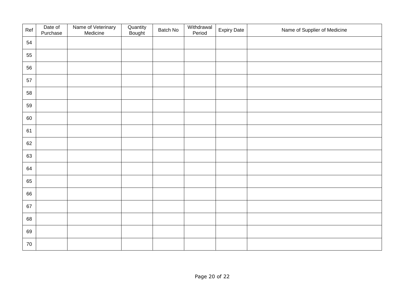| Ref | Date of<br>Purchase | Name of Veterinary<br>Medicine | Quantity<br>Bought | Batch No | Withdrawal<br>Period | <b>Expiry Date</b> | Name of Supplier of Medicine |
|-----|---------------------|--------------------------------|--------------------|----------|----------------------|--------------------|------------------------------|
| 54  |                     |                                |                    |          |                      |                    |                              |
| 55  |                     |                                |                    |          |                      |                    |                              |
| 56  |                     |                                |                    |          |                      |                    |                              |
| 57  |                     |                                |                    |          |                      |                    |                              |
| 58  |                     |                                |                    |          |                      |                    |                              |
| 59  |                     |                                |                    |          |                      |                    |                              |
| 60  |                     |                                |                    |          |                      |                    |                              |
| 61  |                     |                                |                    |          |                      |                    |                              |
| 62  |                     |                                |                    |          |                      |                    |                              |
| 63  |                     |                                |                    |          |                      |                    |                              |
| 64  |                     |                                |                    |          |                      |                    |                              |
| 65  |                     |                                |                    |          |                      |                    |                              |
| 66  |                     |                                |                    |          |                      |                    |                              |
| 67  |                     |                                |                    |          |                      |                    |                              |
| 68  |                     |                                |                    |          |                      |                    |                              |
| 69  |                     |                                |                    |          |                      |                    |                              |
| 70  |                     |                                |                    |          |                      |                    |                              |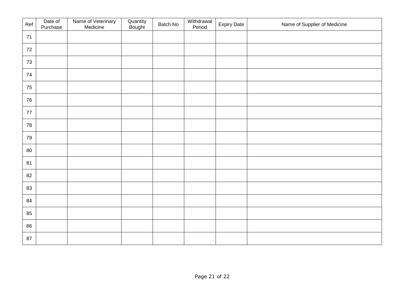| Ref    | Date of<br>Purchase | Name of Veterinary<br>Medicine | Quantity<br>Bought | Batch No | Withdrawal<br>Period | <b>Expiry Date</b> | Name of Supplier of Medicine |
|--------|---------------------|--------------------------------|--------------------|----------|----------------------|--------------------|------------------------------|
| 71     |                     |                                |                    |          |                      |                    |                              |
| 72     |                     |                                |                    |          |                      |                    |                              |
| 73     |                     |                                |                    |          |                      |                    |                              |
| $74\,$ |                     |                                |                    |          |                      |                    |                              |
| 75     |                     |                                |                    |          |                      |                    |                              |
| 76     |                     |                                |                    |          |                      |                    |                              |
| $77\,$ |                     |                                |                    |          |                      |                    |                              |
| 78     |                     |                                |                    |          |                      |                    |                              |
| 79     |                     |                                |                    |          |                      |                    |                              |
| 80     |                     |                                |                    |          |                      |                    |                              |
| 81     |                     |                                |                    |          |                      |                    |                              |
| 82     |                     |                                |                    |          |                      |                    |                              |
| 83     |                     |                                |                    |          |                      |                    |                              |
| 84     |                     |                                |                    |          |                      |                    |                              |
| 85     |                     |                                |                    |          |                      |                    |                              |
| 86     |                     |                                |                    |          |                      |                    |                              |
| 87     |                     |                                |                    |          |                      |                    |                              |